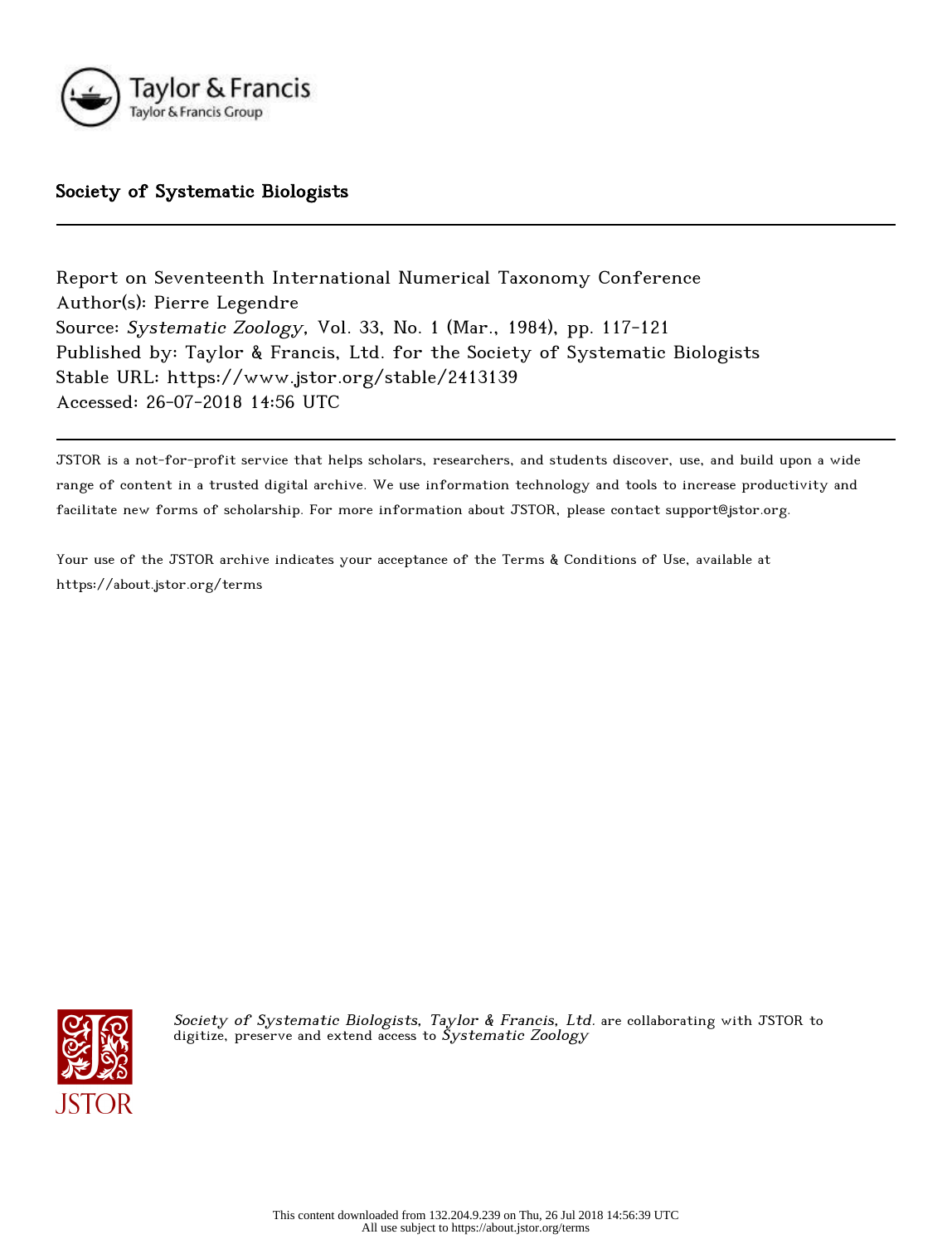

## Society of Systematic Biologists

Report on Seventeenth International Numerical Taxonomy Conference Author(s): Pierre Legendre Source: Systematic Zoology, Vol. 33, No. 1 (Mar., 1984), pp. 117-121 Published by: Taylor & Francis, Ltd. for the Society of Systematic Biologists Stable URL: https://www.jstor.org/stable/2413139 Accessed: 26-07-2018 14:56 UTC

JSTOR is a not-for-profit service that helps scholars, researchers, and students discover, use, and build upon a wide range of content in a trusted digital archive. We use information technology and tools to increase productivity and facilitate new forms of scholarship. For more information about JSTOR, please contact support@jstor.org.

Your use of the JSTOR archive indicates your acceptance of the Terms & Conditions of Use, available at https://about.jstor.org/terms



Society of Systematic Biologists, Taylor & Francis, Ltd. are collaborating with JSTOR to digitize, preserve and extend access to  $\tilde{S}$ ys $t$ e $m$ atic  $\emph{Zoology}$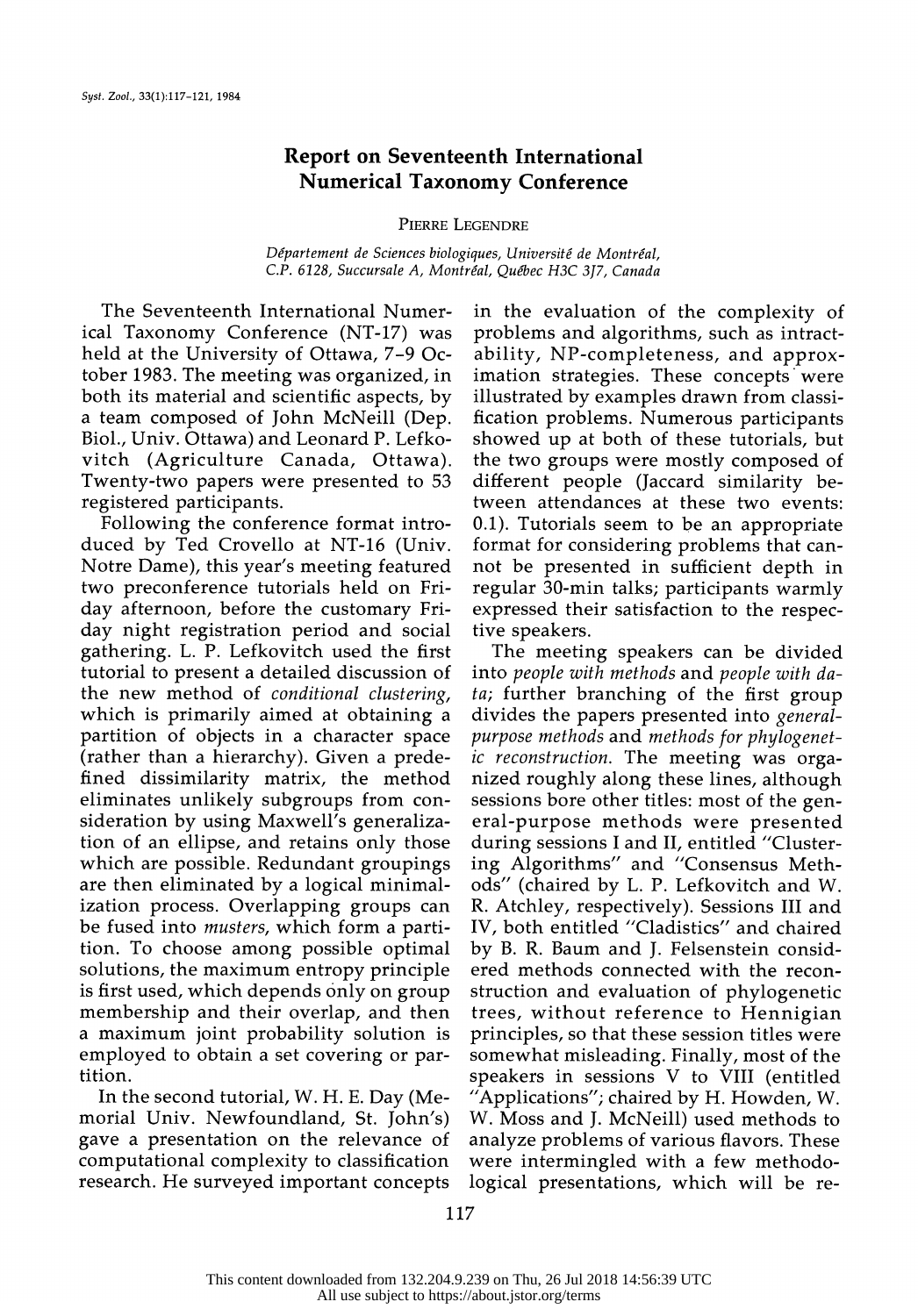## Report on Seventeenth International Numerical Taxonomy Conference

PIERRE LEGENDRE

 Departement de Sciences biologiques, Universite de Montreal, C.P. 6128, Succursale A, Montreal, Quebec H3C 3J7, Canada

 The Seventeenth International Numer ical Taxonomy Conference (NT-17) was held at the University of Ottawa, 7-9 Oc tober 1983. The meeting was organized, in both its material and scientific aspects, by a team composed of John McNeill (Dep. Biol., Univ. Ottawa) and Leonard P. Lefko vitch (Agriculture Canada, Ottawa). Twenty-two papers were presented to 53 registered participants.

 Following the conference format intro duced by Ted Crovello at NT-16 (Univ. Notre Dame), this year's meeting featured two preconference tutorials held on Fri day afternoon, before the customary Fri day night registration period and social gathering. L. P. Lefkovitch used the first tutorial to present a detailed discussion of the new method of conditional clustering, which is primarily aimed at obtaining a partition of objects in a character space (rather than a hierarchy). Given a prede fined dissimilarity matrix, the method eliminates unlikely subgroups from con sideration by using Maxwell's generaliza tion of an ellipse, and retains only those which are possible. Redundant groupings are then eliminated by a logical minimal ization process. Overlapping groups can be fused into musters, which form a parti tion. To choose among possible optimal solutions, the maximum entropy principle is first used, which depends only on group membership and their overlap, and then a maximum joint probability solution is employed to obtain a set covering or par tition.

 In the second tutorial, W. H. E. Day (Me morial Univ. Newfoundland, St. John's) gave a presentation on the relevance of computational complexity to classification research. He surveyed important concepts  in the evaluation of the complexity of problems and algorithms, such as intract ability, NP-completeness, and approx imation strategies. These concepts were illustrated by examples drawn from classi fication problems. Numerous participants showed up at both of these tutorials, but the two groups were mostly composed of different people (Jaccard similarity be tween attendances at these two events: 0.1). Tutorials seem to be an appropriate format for considering problems that can not be presented in sufficient depth in regular 30-min talks; participants warmly expressed their satisfaction to the respec tive speakers.

 The meeting speakers can be divided into people with methods and people with da ta; further branching of the first group divides the papers presented into general purpose methods and methods for phylogenet ic reconstruction. The meeting was orga nized roughly along these lines, although sessions bore other titles: most of the gen eral-purpose methods were presented during sessions I and II, entitled "Cluster ing Algorithms" and "Consensus Meth ods" (chaired by L. P. Lefkovitch and W. R. Atchley, respectively). Sessions III and IV, both entitled "Cladistics" and chaired by B. R. Baum and J. Felsenstein consid ered methods connected with the recon struction and evaluation of phylogenetic trees, without reference to Hennigian principles, so that these session titles were somewhat misleading. Finally, most of the speakers in sessions V to VIII (entitled "Applications"; chaired by H. Howden, W. W. Moss and J. McNeill) used methods to analyze problems of various flavors. These were intermingled with a few methodo logical presentations, which will be re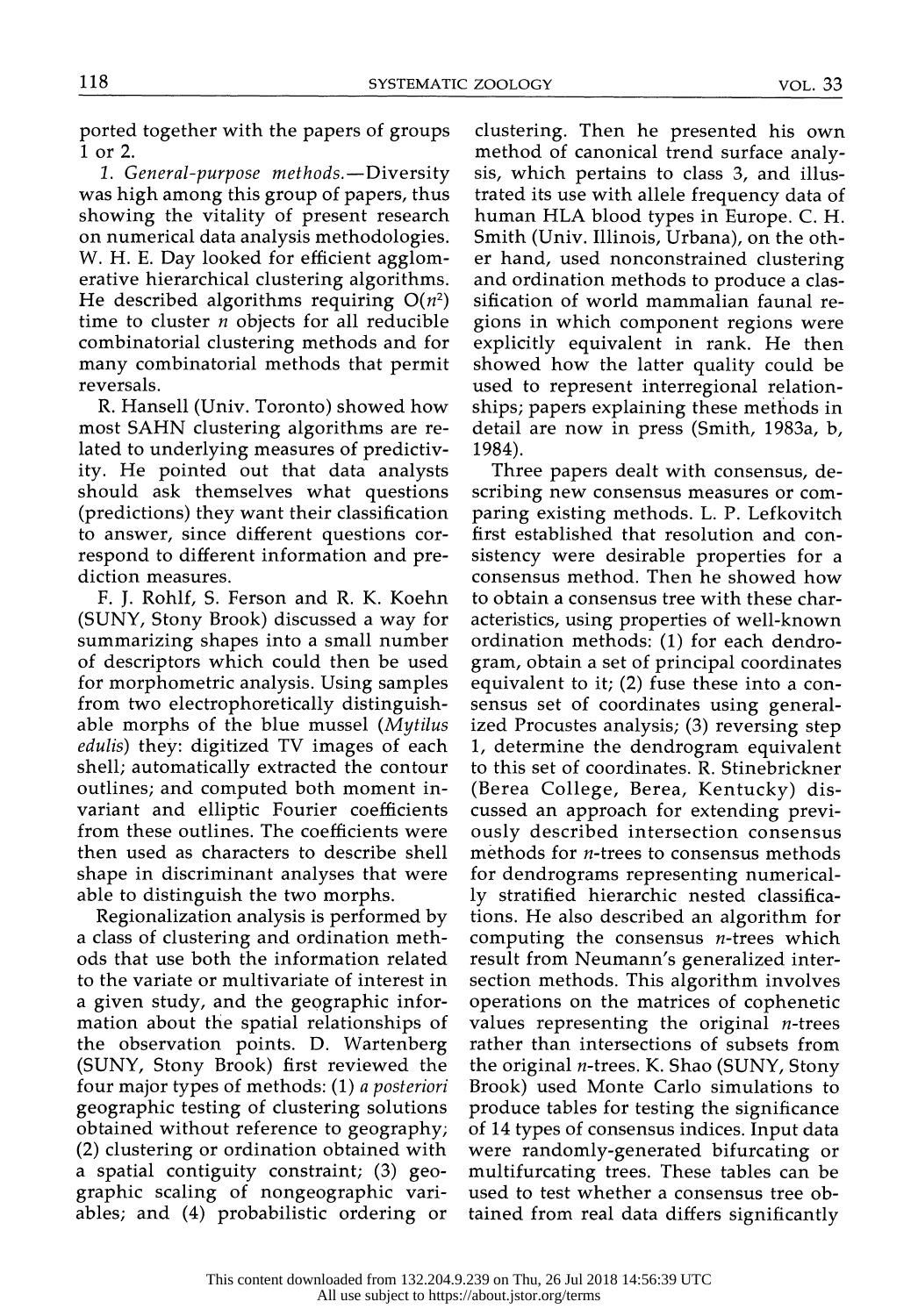ported together with the papers of groups 1 or 2.

1. General-purpose methods.-Diversity was high among this group of papers, thus showing the vitality of present research on numerical data analysis methodologies. W. H. E. Day looked for efficient agglom erative hierarchical clustering algorithms. He described algorithms requiring  $O(n^2)$ time to cluster  $n$  objects for all reducible combinatorial clustering methods and for many combinatorial methods that permit reversals.

 R. Hansell (Univ. Toronto) showed how most SAHN clustering algorithms are re lated to underlying measures of predictiv ity. He pointed out that data analysts should ask themselves what questions (predictions) they want their classification to answer, since different questions cor respond to different information and pre diction measures.

 F. J. Rohlf, S. Ferson and R. K. Koehn (SUNY, Stony Brook) discussed a way for summarizing shapes into a small number of descriptors which could then be used for morphometric analysis. Using samples from two electrophoretically distinguish able morphs of the blue mussel (Mytilus edulis) they: digitized TV images of each shell; automatically extracted the contour outlines; and computed both moment in variant and elliptic Fourier coefficients from these outlines. The coefficients were then used as characters to describe shell shape in discriminant analyses that were able to distinguish the two morphs.

 Regionalization analysis is performed by a class of clustering and ordination meth ods that use both the information related to the variate or multivariate of interest in a given study, and the geographic infor mation about the spatial relationships of the observation points. D. Wartenberg (SUNY, Stony Brook) first reviewed the four major types of methods: (1) a posteriori geographic testing of clustering solutions obtained without reference to geography; (2) clustering or ordination obtained with a spatial contiguity constraint; (3) geo graphic scaling of nongeographic vari ables; and (4) probabilistic ordering or

 clustering. Then he presented his own method of canonical trend surface analy sis, which pertains to class 3, and illus trated its use with allele frequency data of human HLA blood types in Europe. C. H. Smith (Univ. Illinois, Urbana), on the oth er hand, used nonconstrained clustering and ordination methods to produce a clas sification of world mammalian faunal re gions in which component regions were explicitly equivalent in rank. He then showed how the latter quality could be used to represent interregional relation ships; papers explaining these methods in detail are now in press (Smith, 1983a, b, 1984).

 Three papers dealt with consensus, de scribing new consensus measures or com paring existing methods. L. P. Lefkovitch first established that resolution and con sistency were desirable properties for a consensus method. Then he showed how to obtain a consensus tree with these char acteristics, using properties of well-known ordination methods: (1) for each dendro gram, obtain a set of principal coordinates equivalent to it; (2) fuse these into a con sensus set of coordinates using general ized Procustes analysis; (3) reversing step 1, determine the dendrogram equivalent to this set of coordinates. R. Stinebrickner (Berea College, Berea, Kentucky) dis cussed an approach for extending previ ously described intersection consensus methods for n-trees to consensus methods for dendrograms representing numerical ly stratified hierarchic nested classifica tions. He also described an algorithm for computing the consensus *n*-trees which result from Neumann's generalized inter section methods. This algorithm involves operations on the matrices of cophenetic values representing the original  $n$ -trees rather than intersections of subsets from the original *n*-trees. K. Shao (SUNY, Stony Brook) used Monte Carlo simulations to produce tables for testing the significance of 14 types of consensus indices. Input data were randomly-generated bifurcating or multifurcating trees. These tables can be used to test whether a consensus tree ob tained from real data differs significantly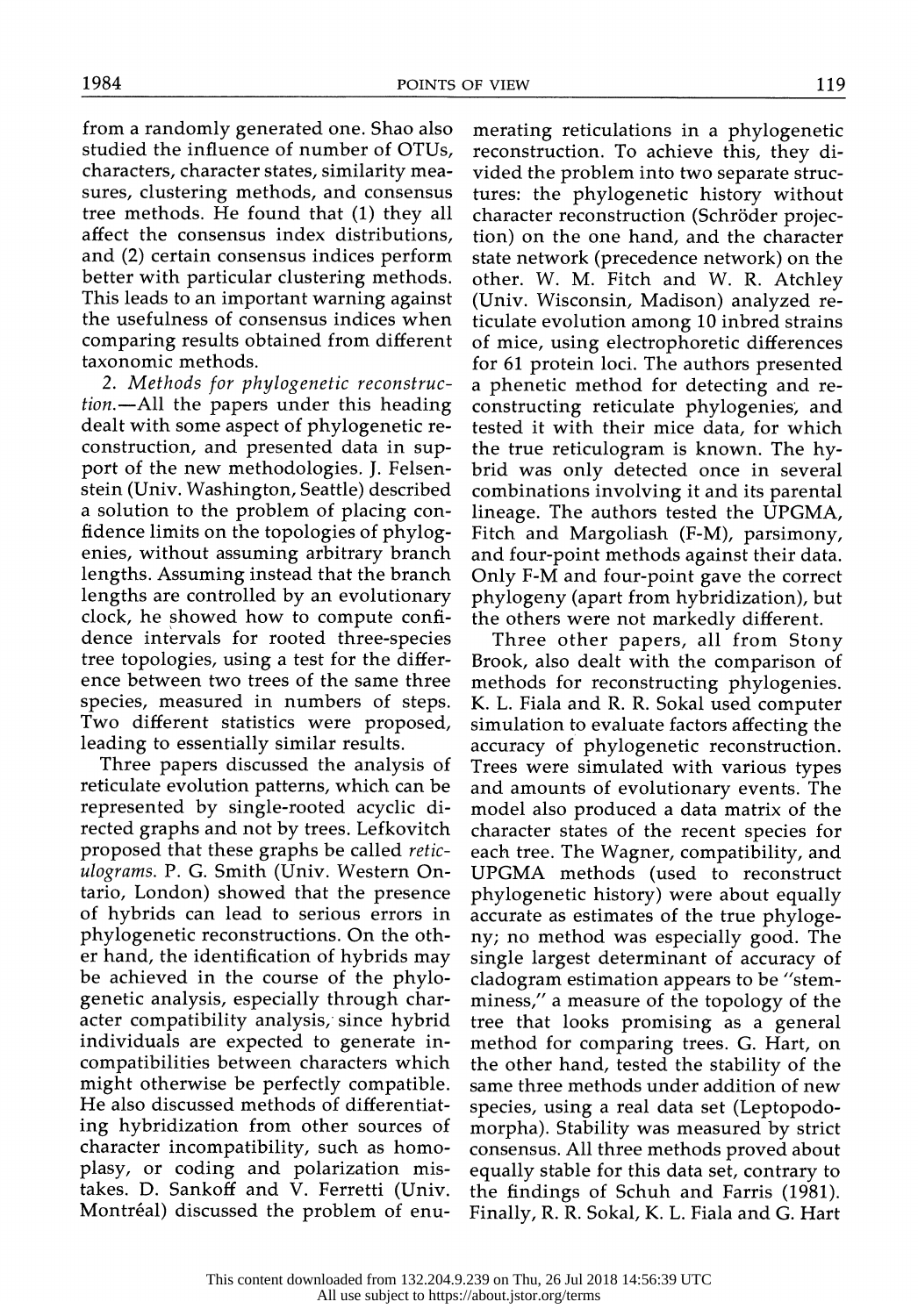from a randomly generated one. Shao also studied the influence of number of OTUs, characters, character states, similarity mea sures, clustering methods, and consensus tree methods. He found that (1) they all affect the consensus index distributions, and (2) certain consensus indices perform better with particular clustering methods. This leads to an important warning against the usefulness of consensus indices when comparing results obtained from different taxonomic methods.

 2. Methods for phylogenetic reconstruc tion.—All the papers under this heading dealt with some aspect of phylogenetic re construction, and presented data in sup port of the new methodologies. J. Felsen stein (Univ. Washington, Seattle) described a solution to the problem of placing con fidence limits on the topologies of phylog enies, without assuming arbitrary branch lengths. Assuming instead that the branch lengths are controlled by an evolutionary clock, he showed how to compute confi dence intervals for rooted three-species tree topologies, using a test for the differ ence between two trees of the same three species, measured in numbers of steps. Two different statistics were proposed, leading to essentially similar results.

 Three papers discussed the analysis of reticulate evolution patterns, which can be represented by single-rooted acyclic di rected graphs and not by trees. Lefkovitch proposed that these graphs be called retic ulograms. P. G. Smith (Univ. Western On tario, London) showed that the presence of hybrids can lead to serious errors in phylogenetic reconstructions. On the oth er hand, the identification of hybrids may be achieved in the course of the phylo genetic analysis, especially through char acter compatibility analysis, since hybrid individuals are expected to generate in compatibilities between characters which might otherwise be perfectly compatible. He also discussed methods of differentiat ing hybridization from other sources of character incompatibility, such as homo plasy, or coding and polarization mis takes. D. Sankoff and V. Ferretti (Univ. Montréal) discussed the problem of enu merating reticulations in a phylogenetic reconstruction. To achieve this, they di vided the problem into two separate struc tures: the phylogenetic history without character reconstruction (Schröder projec tion) on the one hand, and the character state network (precedence network) on the other. W. M. Fitch and W. R. Atchley (Univ. Wisconsin, Madison) analyzed re ticulate evolution among 10 inbred strains of mice, using electrophoretic differences for 61 protein loci. The authors presented a phenetic method for detecting and re constructing reticulate phylogenies, and tested it with their mice data, for which the true reticulogram is known. The hy brid was only detected once in several combinations involving it and its parental lineage. The authors tested the UPGMA, Fitch and Margoliash (F-M), parsimony, and four-point methods against their data. Only F-M and four-point gave the correct phylogeny (apart from hybridization), but the others were not markedly different.

 Three other papers, all from Stony Brook, also dealt with the comparison of methods for reconstructing phylogenies. K. L. Fiala and R. R. Sokal used computer simulation to evaluate factors affecting the accuracy of phylogenetic reconstruction. Trees were simulated with various types and amounts of evolutionary events. The model also produced a data matrix of the character states of the recent species for each tree. The Wagner, compatibility, and UPGMA methods (used to reconstruct phylogenetic history) were about equally accurate as estimates of the true phyloge ny; no method was especially good. The single largest determinant of accuracy of cladogram estimation appears to be "stem miness," a measure of the topology of the tree that looks promising as a general method for comparing trees. G. Hart, on the other hand, tested the stability of the same three methods under addition of new species, using a real data set (Leptopodo morpha). Stability was measured by strict consensus. All three methods proved about equally stable for this data set, contrary to the findings of Schuh and Farris (1981). Finally, R. R. Sokal, K. L. Fiala and G. Hart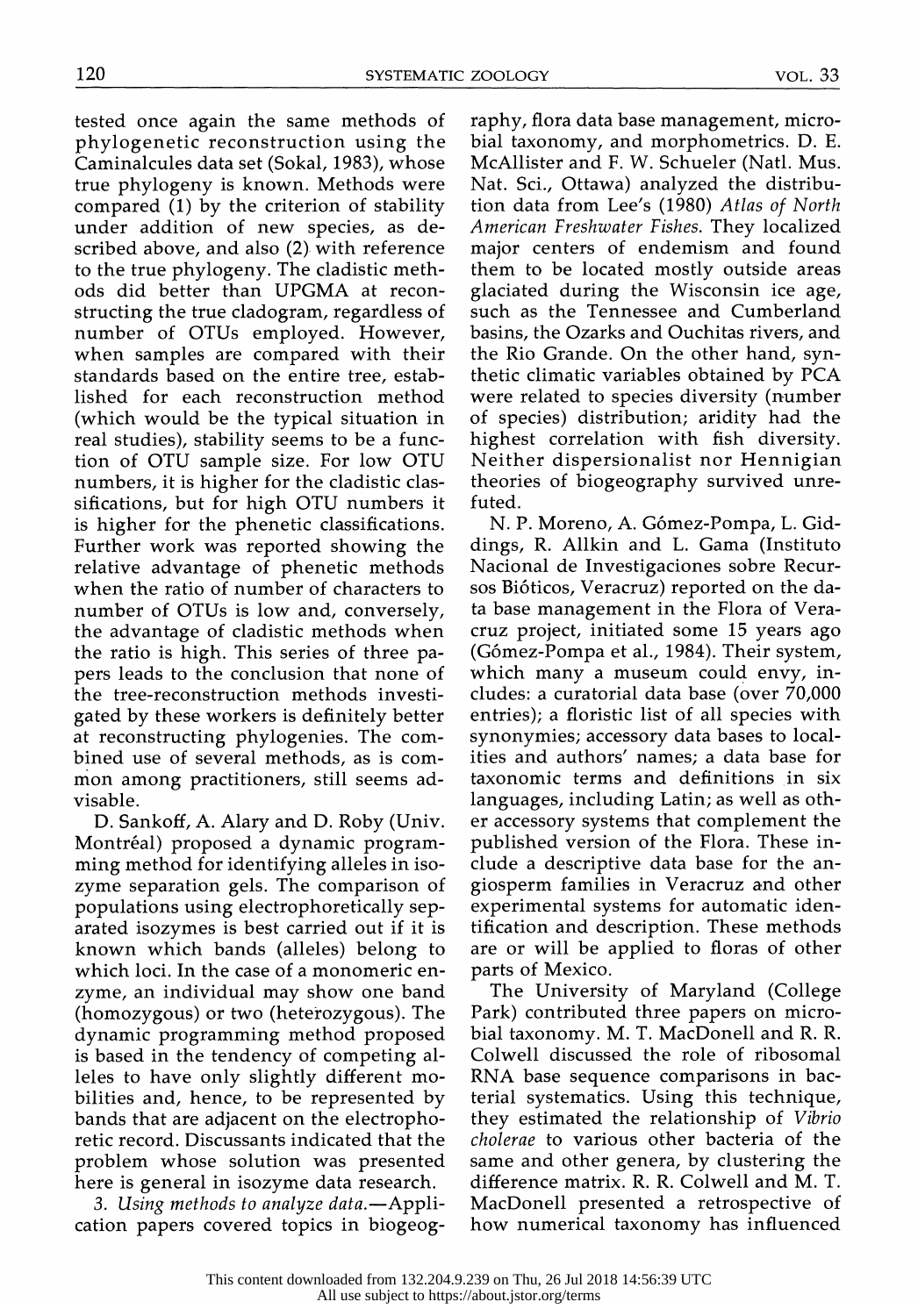tested once again the same methods of phylogenetic reconstruction using the Caminalcules data set (Sokal, 1983), whose true phylogeny is known. Methods were compared (1) by the criterion of stability under addition of new species, as de scribed above, and also (2) with reference to the true phylogeny. The cladistic meth ods did better than UPGMA at recon structing the true cladogram, regardless of number of OTUs employed. However, when samples are compared with their standards based on the entire tree, estab lished for each reconstruction method (which would be the typical situation in real studies), stability seems to be a func tion of OTU sample size. For low OTU numbers, it is higher for the cladistic clas sifications, but for high OTU numbers it is higher for the phenetic classifications. Further work was reported showing the relative advantage of phenetic methods when the ratio of number of characters to number of OTUs is low and, conversely, the advantage of cladistic methods when the ratio is high. This series of three pa pers leads to the conclusion that none of the tree-reconstruction methods investi gated by these workers is definitely better at reconstructing phylogenies. The com bined use of several methods, as is com mon among practitioners, still seems ad visable.

 D. Sankoff, A. Alary and D. Roby (Univ. Montréal) proposed a dynamic program ming method for identifying alleles in iso zyme separation gels. The comparison of populations using electrophoretically sep arated isozymes is best carried out if it is known which bands (alleles) belong to which loci. In the case of a monomeric en zyme, an individual may show one band (homozygous) or two (heterozygous). The dynamic programming method proposed is based in the tendency of competing al leles to have only slightly different mo bilities and, hence, to be represented by bands that are adjacent on the electropho retic record. Discussants indicated that the problem whose solution was presented here is general in isozyme data research.

3. Using methods to analyze data.—Application papers covered topics in biogeog raphy, flora data base management, micro bial taxonomy, and morphometrics. D. E. McAllister and F. W. Schueler (Natl. Mus. Nat. Sci., Ottawa) analyzed the distribu tion data from Lee's (1980) Atlas of North American Freshwater Fishes. They localized major centers of endemism and found them to be located mostly outside areas glaciated during the Wisconsin ice age, such as the Tennessee and Cumberland basins, the Ozarks and Ouchitas rivers, and the Rio Grande. On the other hand, syn thetic climatic variables obtained by PCA were related to species diversity (number of species) distribution; aridity had the highest correlation with fish diversity. Neither dispersionalist nor Hennigian theories of biogeography survived unre futed.

N. P. Moreno, A. Gómez-Pompa, L. Gid dings, R. Allkin and L. Gama (Instituto Nacional de Investigaciones sobre Recur sos Bioticos, Veracruz) reported on the da ta base management in the Flora of Vera cruz project, initiated some 15 years ago (Gomez-Pompa et al., 1984). Their system, which many a museum could envy, in cludes: a curatorial data base (over 70,000 entries); a floristic list of all species with synonymies; accessory data bases to local ities and authors' names; a data base for taxonomic terms and definitions in six languages, including Latin; as well as oth er accessory systems that complement the published version of the Flora. These in clude a descriptive data base for the an giosperm families in Veracruz and other experimental systems for automatic iden tification and description. These methods are or will be applied to floras of other parts of Mexico.

 The University of Maryland (College Park) contributed three papers on micro bial taxonomy. M. T. MacDonell and R. R. Colwell discussed the role of ribosomal RNA base sequence comparisons in bac terial systematics. Using this technique, they estimated the relationship of Vibrio cholerae to various other bacteria of the same and other genera, by clustering the difference matrix. R. R. Colwell and M. T. MacDonell presented a retrospective of how numerical taxonomy has influenced